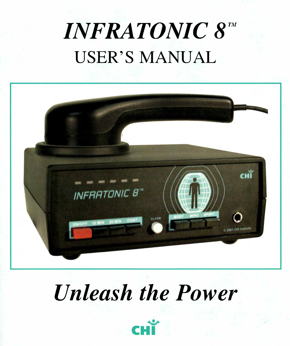# **INFRATONIC 8" USER'S MANUAL**



# *Unleash the Power*

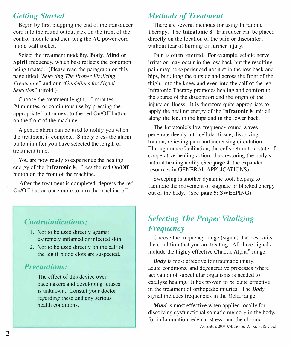# *Getting Started*

Begin by first plugging the end of the transducer cord into the round output jack on the front of the control module and then plug the AC power cord into a wall socket.

Select the treatment modality, **Body, Mind** or **Spirit** frequency, which best reflects the condition being treated. (Please read the paragraph on this page titled *"Selecting The Proper Vitalizing Frequency"* and our *"Guidelines for Signal Selection"* trifold.)

Choose the treatment length, 10 minutes, 20 minutes, or continuous use by pressing the appropriate button next to the red On/Off button on the front of the machine.

A gentle alarm can be used to notify you when the treatment is complete. Simply press the alarm button in after you have selected the length of treatment time.

You are now ready to experience the healing energy of the **Infratonic 8.** Press the red On/Off button on the front of the machine.

After the treatment is completed, depress the red On/Off button once more to turn the machine off.

# *Contraindications:*

- I. Not to be used directly against extremely inflamed or infected skin.
- 2. Not to be used directly on the calf of the leg if blood clots are suspected.

## *Precaution4i.*

The effect of this device over pacemakers and developing fetuses is unknown. Consult your doctor regarding these and any serious health conditions.

# *Methods of Treatment*

There are several methods for using lnfratonic Therapy. The Infratonic 8<sup>m</sup> transducer can be placed directly on the location of the pain or discomfort without fear of burning or further injury.

Pain is often referred. For example, sciatic nerve irritation may occur in the low back but the resulting pain may be experienced not just in the low back and hips, but along the outside and across the front of the thigh, into the knee, and even into the calf of the leg. Infratonic Therapy promotes healing and comfort to the source of the discomfort and the origin of the injury or illness. It is therefore quite appropriate to apply the healing energy of the **Infratonic 8** unit all along the leg, in the hips and in the lower back.

The Infratonic's low frequency sound waves penetrate deeply into cellular tissue, dissolving trauma, relieving pain and increasing circulation. Through neurofacilitation, the cells return to a state of cooperative healing action, thus restoring the body's natural healing ability (See **page 4:** the expanded resources in GENERAL APPLICATIONS).

Sweeping is another dynamic tool, helping to facilitate the movement of stagnate or blocked energy out 9f the body. (See **page 5:** SWEEPING)

# *Selecting The Proper Vitalizing Frequency*

Choose the frequency range (signal) that best suits the condition that you are treating. All three signals include the highly effective Chaotic Alpha"' range.

*Body* is most effective for traumatic injury, acute conditions, and degenerative processes where activation of subcellular organisms is needed to catalyze healing. It has proven to be quite effective in the treatment of orthopedic injuries. The *Body*  signal includes frequencies in the Delta range.

*Mind* is most effective when applied locally for dissolving dysfunctional somatic memory in the body, for inflammation, edema, stress, and the chronic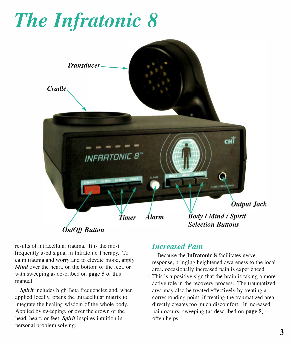# *The Infratonic 8*



results of intracellular trauma. It is the most frequently used signal in Infratonic Therapy. To calm trauma and worry and to elevate mood, apply *Mind* over the heart, on the bottom of the feet, or with sweeping as described on **page 5** of this manual.

*Spirit* includes high Beta frequencies and, when applied locally, opens the intracellular matrix to integrate the healing wisdom of the whole body. Applied by sweeping, or over the crown of the head, heart, or feet, *Spirit* inspires intuition in personal problem solving.

## *Increased Pain*

Because the **Infratonic 8** facilitates nerve response, bringing heightened awareness to the local area, occasionally increased pain is experienced. This is a positive sign that the brain is taking a more active role in the recovery process. The traumatized area may also be treated effectively by treating a corresponding point, if treating the traumatized area directly creates too much discomfort. If increased pain occurs, sweeping (as described on **page** 5) often helps.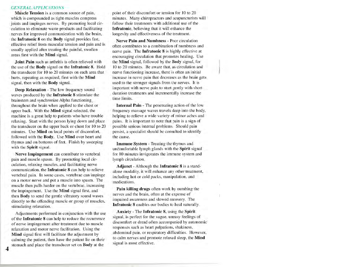#### **GENERAL APPLICATIONS**

Muscle Tension is a common source of pain, which is compounded as tight muscles compress joints and impinges nerves. By promoting local circulation to eliminate waste products and facilitating nerves for improved communication with the brain, the Infratonic 8 on the Body signal provides fast, effective relief from muscular tension and pain and is usually applied after treating the painful, swollen areas first with the Mind signal.

Joint Pain such as arthritis is often relieved with the use of the Body signal on the Infratonic 8. Hold the transducer for 10 to 20 minutes on each area that hurts, repeating as required, first with the Mind signal, then with the Body signal.

Deep Relaxation - The low frequency sound waves produced by the Infratonic 8 stimulate the brainstem and synchronize Alpha functioning. throughout the brain when applied to the chest or upper back. With the Mind signal selected, the machine is a great help to patients who have trouble relaxing. Start with the person lying down and place the transducer on the upper back or chest for 10 to 20 minutes. Use Mind on local points of discomfort, followed with the Body. Use Mind over heart and thymus and on bottoms of feet. Finish by sweeping with the Spirit signal.

Nerve Impingement can contribute to vertebral pain and muscle spasm. By promoting local circulation, relaxing muscles, and facilitating nerve communication, the Infratonic 8 can help to relieve vertebral pain. In some cases, vertebrae can impinge on a motor nerve and put a muscle into spasm. The muscle then pulls harder on the vertebrae, increasing the impingement. Use the Mind signal first, and then Body to send the gentle vibratory sound waves directly to the offending muscle or group of muscles, stimulating relaxation.

Adjustments performed in conjunction with the use of the Infratonic 8 can help to reduce the recurrence of nerve impingement after treatment due to muscle relaxation and motor nerve facilitation. Using the Mind signal first will facilitate the adjustment by calming the patient, then have the patient lie on their stomach and place the transducer set on Body at the

point of their discomfort or tension for 10 to 20 minutes. Many chiropractors and acupuncturists will follow their treatments with additional use of the Infratonic, believing that it will enhance the longevity and effectiveness of the treatment.

Nerve Pain and Numbness - Poor circulation often contributes to a combination of numbness and nerve pain. The Infratonic 8 is highly effective at encouraging circulation that promotes healing. Use the Mind signal, followed by the Body signal, for 10 to 20 minutes. Be aware that, as circulation and nerve functioning increase, there is often an initial increase in nerve pain that decreases as the brain gets used to the stronger signals from the nerves. It is important with nerve pain to start gently with short duration treatments and incrementally increase the time limits.

**Internal Pain - The penetrating action of the low** frequency massage waves travels deep into the body, helping to relieve a wide variety of minor aches and pains. It is important to note that pain is a sign of possible serious internal problems. Should pain persist, a specialist should be consulted to identify the cause.

Immune System - Treating the thymus and uncomfortable lymph glands with the Spirit signal for 10 minutes invigorates the immune system and lymph circulation.

Adjunct - Although the Infratonic 8 is a standalone modality, it will enhance any other treatment, including hot or cold packs, manipulation, and medications.

Pain killing drugs often work by numbing the nerves and the brain, often at the expense of impaired awareness and slowed recovery. The Infratonic 8 enables our bodies to heal naturally.

Anxiety - The Infratonic 8, using the Spirit signal, is perfect for the vague, uneasy feelings of discomfort or dread often accompanied by autonomic responses such as heart palpations, shakiness, abdominal pain, or respiratory difficulties. However, to calm nerves and promote relaxed sleep, the Mind signal is most effective.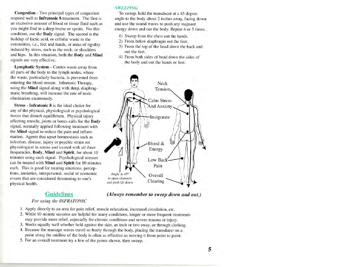Congestion - Two principal types of congestion respond well to Infratonic 8 treatment. The first is an excessive amount of blood or tissue fluid such as you might find in a deep bruise or sprain. For this condition, use the Body signal. The second is the buildup of lactic acid, or cellular waste in the extremities, i.e., feet and hands, or areas of rigidity induced by stress, such as the neck, or shoulders and hips. In this situation, both the Body and Mind signals are very effective.

Lymphatic System - Carries waste away from all parts of the body to the lymph nodes, where the waste, particularly bacteria, is prevented from entering the blood stream. Infratonic Therapy, using the Mind signal along with deep, diaphragmatic breathing, will increase the rate of toxic elimination enormously.

Stress - Infratonic 8 is the ideal choice for any of the physical, physiological or psychological forces that disturb equilibrium. Physical injury affecting muscle, joints or bones calls for the Body signal, normally applied following treatment with the Mind signal to reduce the pain and inflammation. Agents that upset homeostasis such as infection, disease, injury or psychic strain are physiological in nature and treated with all three frequencies, Body, Mind and Spirit, for about 10 minutes using each signal. Psychological stresses can be treated with Mind and Spirit for 10 minutes each. This is good for treating emotions, perceptions, anxieties, interpersonal, social or economic events that are considered threatening to one's physical health.

# **Guidelines**

#### **SWEEPING**

To sweep, hold the transducer at a 45 degree angle to the body about 2 inches away, facing down and use the sound waves to push any stagnant energy down and out the body. Repeat 4 or 5 times.

- 1) Sweep from the chest out the hands.
- 2) From below diaphragm out the feet.
- 3) From the top of the head down the back and out the feet.
- 4) From both sides of head down the sides of the body and out the hands or feet.



(Always remember to sweep down and out.)

#### For using the INFRATONIC

- 1. Apply directly to an area for pain relief, muscle relaxation, increased circulation, etc.
- 2. While 10-minute sessions are helpful for many conditions, longer or more frequent treatments may provide more relief, especially for chronic conditions and severe trauma or injury.
- 3. Works equally well whether held against the skin, an inch or two away, or through clothing.
- 4. Because the massage waves travel so freely through the body, placing the transducer on a point along the midline of the body is often as effective as moving it from point to point.
- 5. For an overall treatment try a few of the points shown, then sweep.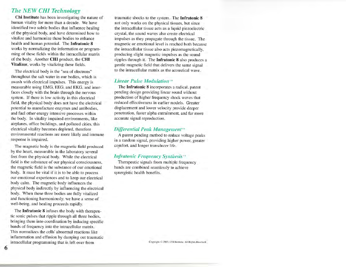### **The NEW CHI Technology**

Chi Institute has been investigating the nature of human vitality for more than a decade. We have identified two subtle bodies that influence healing of the physical body, and have determined how to vitalize and harmonize these bodies to enhance health and human potential. The Infratonic 8 works by normalizing the information or programming of these fields within the intracellular matrix of the body. Another CHI product, the CHI Vitalizer, works by vitalizing these fields.

The electrical body is the "sea of electrons" throughout the salt water in our bodies, which is awash with electrical impulses. This energy is measurable using EMG, EEG, and EKG, and interfaces closely with the brain through the nervous system. If there is low activity in this electrical field, the physical body does not have the electrical potential to manufacture enzymes and antibodies, and fuel other energy intensive processes within the body. In vitality impaired environments, like airplanes, office buildings, and polluted cities, this electrical vitality becomes depleted, therefore environmental reactions are more likely and immune response is impaired.

The magnetic body is the magnetic field produced by the heart, measurable in the laboratory several feet from the physical body. While the electrical field is the substance of our physical consciousness, the magnetic field is the substance of our emotional body. It must be vital if it is to be able to process our emotional experiences and to keep our electrical body calm. The magnetic body influences the physical body indirectly by influencing the electrical body. When these three bodies are fully vitalized and functioning harmoniously, we have a sense of well-being, and healing proceeds rapidly.

The Infratonic 8 infuses the body with therapeutic sonic pulses that ripple through all three bodies, bringing them into coordination by inducing specific bands of frequency into the intracellular matrix. This normalizes the cells' abnormal reactions like inflammation and effusion by damping out traumatic intracellular programming that is left over from

traumatic shocks to the system. The Infratonic 8 not only works on the physical tissues, but since the intracellular tissue acts as a liquid piezoelectric crystal, the sound waves also create electrical impulses as they propagate through the tissue. The magnetic or emotional level is reached both because the intracellular tissue also acts piezomagnetically, producing slight magnetic impulses as the sound ripples through it. The Infratonic 8 also produces a gentle magnetic field that delivers the same signal to the intracellular matrix as the acoustical wave

### **Linear Pulse Modulation**

The Infratonic 8 incorporates a radical, patent pending design providing linear sound without production of higher frequency shock waves that reduced effectiveness in earlier models. Greater displacement and lower velocity provide deeper penetration, faster alpha entrainment, and far more accurate signal reproduction.

#### Differential Peak Management<sup>®</sup>

A patent pending method to reduce voltage peaks in a random signal, providing higher power, greater comfort, and longer transducer life.

### Infratonic Frequency Synthesis<sup>10</sup>

Therapeutic signals from multiple frequency bands are combined seamlessly to achieve synergistic health benefits.

Copyright © 2003, CHI Institute, All Rights Reserved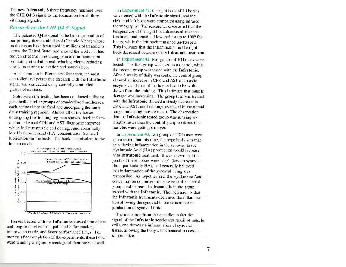The new Infratonic 8 three frequency machine uses the CHI Q4.3 signal as the foundation for all three vitalizing signals.

### Research on the CHI 04.3° Signal

The patented Q4.3 signal is the latest generation of our primary therapeutic signal (Chaotic Alpha) whose predecessors have been used in millions of treatments across the United States and around the world. It has proven effective in reducing pain and inflammation, promoting circulation and reducing edema, reducing stress, promoting relaxation and sound sleep.

As is common in Biomedical Research, the most controlled and persuasive research with the Infratonic signal was conducted using carefully controlled groups of animals.

Solid scientific testing has been conducted utilizing genetically similar groups of standardbred racehorses, each eating the same food and undergoing the same daily training regimen. Almost all of the horses undergoing this training regimen showed hock inflammation, elevated CPK and AST diagnostic enzymes which indicate muscle cell damage, and abnormally low Hyaluronic Acid (HA) concentration (reduced lubrication) in the hock. The hock is equivalent to the human ankle.



Horses treated with the Infratonic showed immediate and long-term relief from pain and inflammation, improved attitude, and faster performance times. For months after completion of the experiments, these horses were winning a higher percentage of their races as well.

In Experiment #1, the right hock of 10 horses was treated with the Infratonic signal, and the right and left hock were compared using infrared thermography. The researcher discovered that the temperature of the right hock decreased after the treatment and remained lowered for up to 100° for hours, while the left hock remained unchanged. This indicates that the inflammation in the right hock decreased because of the Infratonic treatment.

In Experiment  $#2$ , two groups of 10 horses were tested. The first group was used as a control, while the second group was tested with the Infratonic. After 6 weeks of daily workouts, the control group showed an increase in CPK and AST diagnostic enzymes, and four of the horses had to be withdrawn from the training. This indicates that muscle damage was increasing. The group that was treated with the Infratonic showed a steady decrease in CPK and AST, until readings averaged in the nomal range, indicating muscle repair. The observation that the Infratonic tested group was running six lengths faster than the control group confirms that muscles were getting stronger.

In Experiment #3, two groups of 10 horses were again tested, but this time, the hypothesis was that by relieving inflammation in the synovial tissue. Hyaluronic Acid (HA) production would increase with Infratonic treatment. It was known that the joints of these horses were "dry" (low on synovial fluid, particularly HA), and generally believed that inflammation of the synovial lining was responsible. As hypothesized, the Hyaluronic Acid concentration continued to decrease in the control group, and increased substantially in the group treated with the Infratonic. The indication is that the Infratonic treatments decreased the inflammation allowing the synovial tissue to increase its production of synovial fluid.

The indication from these studies is that the signal of the Infratonic accelerates repair of muscle cells, and decreases inflammation of synovial tissue, allowing the body's biochemical processes to normalize.